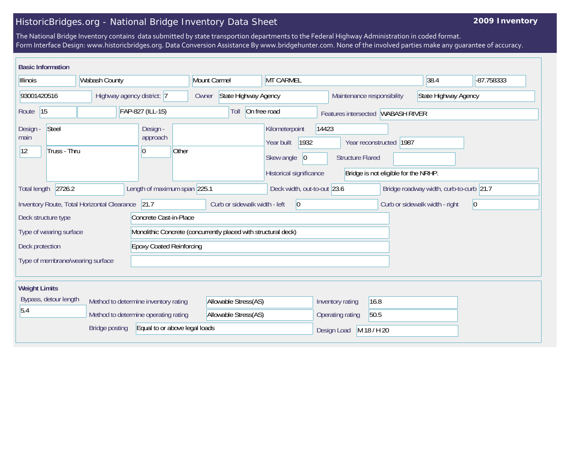## HistoricBridges.org - National Bridge Inventory Data Sheet

## **2009 Inventory**

The National Bridge Inventory contains data submitted by state transportion departments to the Federal Highway Administration in coded format. Form Interface Design: www.historicbridges.org. Data Conversion Assistance By www.bridgehunter.com. None of the involved parties make any guarantee of accuracy.

| <b>Basic Information</b>                                                                      |                                                               |                                                                                                  |                      |                               |                                                                                      |                                   |                                                                 |                                         |            |
|-----------------------------------------------------------------------------------------------|---------------------------------------------------------------|--------------------------------------------------------------------------------------------------|----------------------|-------------------------------|--------------------------------------------------------------------------------------|-----------------------------------|-----------------------------------------------------------------|-----------------------------------------|------------|
| Illinois                                                                                      | Wabash County                                                 |                                                                                                  |                      | Mount Carmel<br>MT CARMEL     |                                                                                      |                                   |                                                                 | 38.4                                    | -87.758333 |
| 93001420516<br>Highway agency district: 7                                                     |                                                               | Owner                                                                                            | State Highway Agency |                               |                                                                                      | Maintenance responsibility        |                                                                 | State Highway Agency                    |            |
| 15<br>Route                                                                                   |                                                               | FAP-827 (ILL-15)                                                                                 |                      | On free road<br>Toll          |                                                                                      | Features intersected WABASH RIVER |                                                                 |                                         |            |
| Steel<br>Design -<br>main<br>$ 12\rangle$<br>Truss - Thru                                     |                                                               | Design -<br>approach<br>Other<br>lO.                                                             |                      |                               | Kilometerpoint<br>1932<br>Year built<br>Skew angle<br> 0 <br>Historical significance | 14423<br><b>Structure Flared</b>  | Year reconstructed 1987<br>Bridge is not eligible for the NRHP. |                                         |            |
| 2726.2<br>Total length                                                                        |                                                               | Length of maximum span 225.1                                                                     |                      |                               | Deck width, out-to-out 23.6                                                          |                                   |                                                                 | Bridge roadway width, curb-to-curb 21.7 |            |
| Inventory Route, Total Horizontal Clearance<br>Deck structure type<br>Type of wearing surface |                                                               | 21.7<br>Concrete Cast-in-Place<br>Monolithic Concrete (concurrently placed with structural deck) |                      | Curb or sidewalk width - left | $ 0\rangle$                                                                          |                                   |                                                                 | Curb or sidewalk width - right          | 0          |
| Deck protection<br>Type of membrane/wearing surface                                           |                                                               | <b>Epoxy Coated Reinforcing</b>                                                                  |                      |                               |                                                                                      |                                   |                                                                 |                                         |            |
| <b>Weight Limits</b><br>Bypass, detour length                                                 | Method to determine inventory rating                          |                                                                                                  |                      | Allowable Stress(AS)          |                                                                                      | Inventory rating                  | 16.8                                                            |                                         |            |
| 5.4                                                                                           | Method to determine operating rating<br><b>Bridge posting</b> | Equal to or above legal loads                                                                    |                      | Allowable Stress(AS)          |                                                                                      | Operating rating<br>Design Load   | 50.5<br>M 18 / H 20                                             |                                         |            |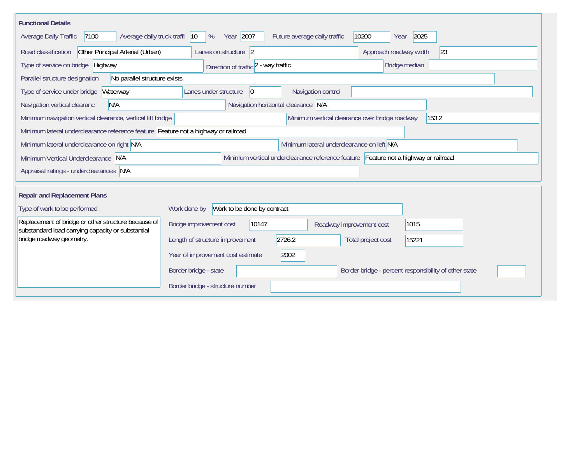| <b>Functional Details</b>                                                                                                  |                                                                                         |  |  |  |  |  |  |  |  |
|----------------------------------------------------------------------------------------------------------------------------|-----------------------------------------------------------------------------------------|--|--|--|--|--|--|--|--|
| Average daily truck traffi<br>7100<br>Average Daily Traffic                                                                | Year 2007<br>10200<br>2025<br>$ 10\rangle$<br>%<br>Future average daily traffic<br>Year |  |  |  |  |  |  |  |  |
| Other Principal Arterial (Urban)<br>Road classification                                                                    | 23<br>Approach roadway width<br>Lanes on structure 2                                    |  |  |  |  |  |  |  |  |
| Type of service on bridge Highway                                                                                          | Bridge median<br>Direction of traffic 2 - way traffic                                   |  |  |  |  |  |  |  |  |
| No parallel structure exists.<br>Parallel structure designation                                                            |                                                                                         |  |  |  |  |  |  |  |  |
| Waterway<br>Type of service under bridge                                                                                   | Navigation control<br>Lanes under structure<br>$\vert 0 \vert$                          |  |  |  |  |  |  |  |  |
| N/A<br>Navigation horizontal clearance N/A<br>Navigation vertical clearanc                                                 |                                                                                         |  |  |  |  |  |  |  |  |
| Minimum vertical clearance over bridge roadway<br>153.2<br>Minimum navigation vertical clearance, vertical lift bridge     |                                                                                         |  |  |  |  |  |  |  |  |
| Minimum lateral underclearance reference feature Feature not a highway or railroad                                         |                                                                                         |  |  |  |  |  |  |  |  |
| Minimum lateral underclearance on left N/A<br>Minimum lateral underclearance on right N/A                                  |                                                                                         |  |  |  |  |  |  |  |  |
| Minimum vertical underclearance reference feature Feature not a highway or railroad<br>Minimum Vertical Underclearance N/A |                                                                                         |  |  |  |  |  |  |  |  |
| Appraisal ratings - underclearances N/A                                                                                    |                                                                                         |  |  |  |  |  |  |  |  |
|                                                                                                                            |                                                                                         |  |  |  |  |  |  |  |  |
| <b>Repair and Replacement Plans</b>                                                                                        |                                                                                         |  |  |  |  |  |  |  |  |
| Type of work to be performed                                                                                               | Work to be done by contract<br>Work done by                                             |  |  |  |  |  |  |  |  |
| Replacement of bridge or other structure because of<br>substandard load carrying capacity or substantial                   | Bridge improvement cost<br>10147<br>1015<br>Roadway improvement cost                    |  |  |  |  |  |  |  |  |
| bridge roadway geometry.                                                                                                   | 2726.2<br>Length of structure improvement<br>Total project cost<br>15221                |  |  |  |  |  |  |  |  |
|                                                                                                                            | 2002<br>Year of improvement cost estimate                                               |  |  |  |  |  |  |  |  |
|                                                                                                                            | Border bridge - state<br>Border bridge - percent responsibility of other state          |  |  |  |  |  |  |  |  |
|                                                                                                                            | Border bridge - structure number                                                        |  |  |  |  |  |  |  |  |